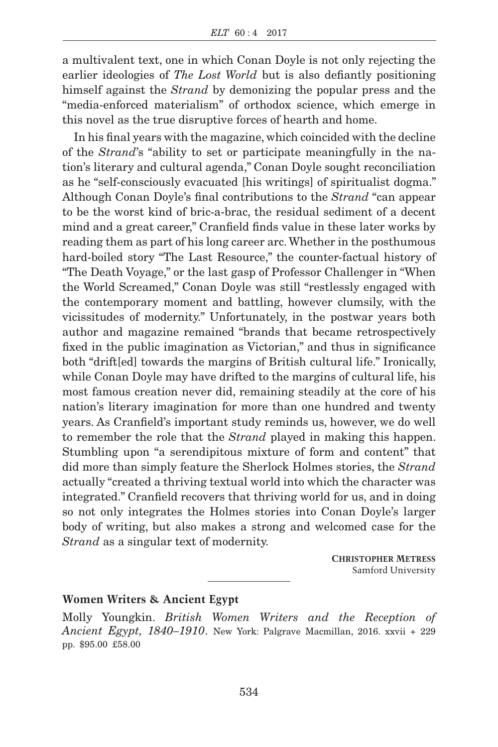a multivalent text, one in which Conan Doyle is not only rejecting the earlier ideologies of *The Lost World* but is also defiantly positioning himself against the *Strand* by demonizing the popular press and the "media-enforced materialism" of orthodox science, which emerge in this novel as the true disruptive forces of hearth and home.

In his final years with the magazine, which coincided with the decline of the *Strand*'s "ability to set or participate meaningfully in the nation's literary and cultural agenda," Conan Doyle sought reconciliation as he "self-consciously evacuated [his writings] of spiritualist dogma." Although Conan Doyle's final contributions to the *Strand* "can appear to be the worst kind of bric-a-brac, the residual sediment of a decent mind and a great career," Cranfield finds value in these later works by reading them as part of his long career arc. Whether in the posthumous hard-boiled story "The Last Resource," the counter-factual history of "The Death Voyage," or the last gasp of Professor Challenger in "When the World Screamed," Conan Doyle was still "restlessly engaged with the contemporary moment and battling, however clumsily, with the vicissitudes of modernity." Unfortunately, in the postwar years both author and magazine remained "brands that became retrospectively fixed in the public imagination as Victorian," and thus in significance both "drift[ed] towards the margins of British cultural life." Ironically, while Conan Doyle may have drifted to the margins of cultural life, his most famous creation never did, remaining steadily at the core of his nation's literary imagination for more than one hundred and twenty years. As Cranfield's important study reminds us, however, we do well to remember the role that the *Strand* played in making this happen. Stumbling upon "a serendipitous mixture of form and content" that did more than simply feature the Sherlock Holmes stories, the *Strand* actually "created a thriving textual world into which the character was integrated." Cranfield recovers that thriving world for us, and in doing so not only integrates the Holmes stories into Conan Doyle's larger body of writing, but also makes a strong and welcomed case for the *Strand* as a singular text of modernity.

> **CHRISTOPHER METRESS** Samford University

## **Women Writers & Ancient Egypt**

Molly Youngkin. *British Women Writers and the Reception of Ancient Egypt, 1840–1910*. New York: Palgrave Macmillan, 2016. xxvii + 229 pp. \$95.00 £58.00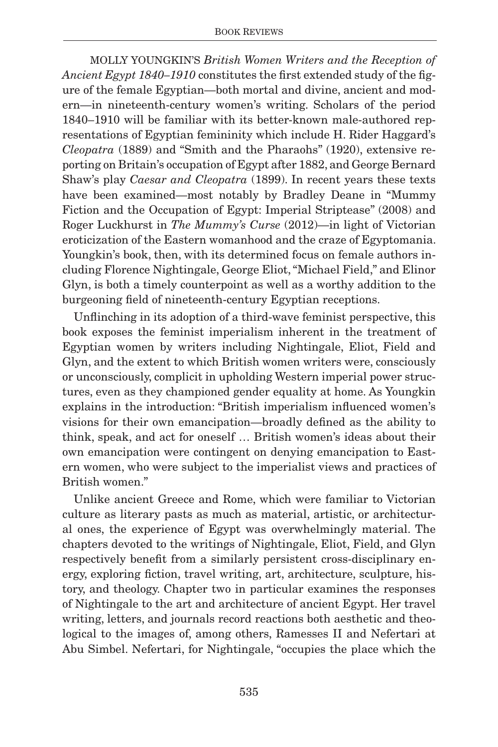MOLLY YOUNGKIN'S *British Women Writers and the Reception of Ancient Egypt 1840–1910* constitutes the first extended study of the figure of the female Egyptian—both mortal and divine, ancient and modern—in nineteenth-century women's writing. Scholars of the period 1840–1910 will be familiar with its better-known male-authored representations of Egyptian femininity which include H. Rider Haggard's *Cleopatra* (1889) and "Smith and the Pharaohs" (1920), extensive reporting on Britain's occupation of Egypt after 1882, and George Bernard Shaw's play *Caesar and Cleopatra* (1899). In recent years these texts have been examined—most notably by Bradley Deane in "Mummy Fiction and the Occupation of Egypt: Imperial Striptease" (2008) and Roger Luckhurst in *The Mummy's Curse* (2012)—in light of Victorian eroticization of the Eastern womanhood and the craze of Egyptomania. Youngkin's book, then, with its determined focus on female authors including Florence Nightingale, George Eliot, "Michael Field," and Elinor Glyn, is both a timely counterpoint as well as a worthy addition to the burgeoning field of nineteenth-century Egyptian receptions.

Unflinching in its adoption of a third-wave feminist perspective, this book exposes the feminist imperialism inherent in the treatment of Egyptian women by writers including Nightingale, Eliot, Field and Glyn, and the extent to which British women writers were, consciously or unconsciously, complicit in upholding Western imperial power structures, even as they championed gender equality at home. As Youngkin explains in the introduction: "British imperialism influenced women's visions for their own emancipation—broadly defined as the ability to think, speak, and act for oneself … British women's ideas about their own emancipation were contingent on denying emancipation to Eastern women, who were subject to the imperialist views and practices of British women."

Unlike ancient Greece and Rome, which were familiar to Victorian culture as literary pasts as much as material, artistic, or architectural ones, the experience of Egypt was overwhelmingly material. The chapters devoted to the writings of Nightingale, Eliot, Field, and Glyn respectively benefit from a similarly persistent cross-disciplinary energy, exploring fiction, travel writing, art, architecture, sculpture, history, and theology. Chapter two in particular examines the responses of Nightingale to the art and architecture of ancient Egypt. Her travel writing, letters, and journals record reactions both aesthetic and theological to the images of, among others, Ramesses II and Nefertari at Abu Simbel. Nefertari, for Nightingale, "occupies the place which the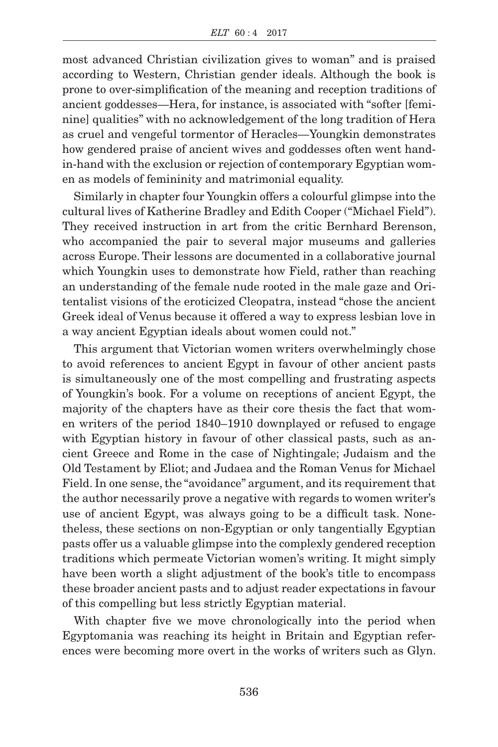most advanced Christian civilization gives to woman" and is praised according to Western, Christian gender ideals. Although the book is prone to over-simplification of the meaning and reception traditions of ancient goddesses—Hera, for instance, is associated with "softer [feminine] qualities" with no acknowledgement of the long tradition of Hera as cruel and vengeful tormentor of Heracles—Youngkin demonstrates how gendered praise of ancient wives and goddesses often went handin-hand with the exclusion or rejection of contemporary Egyptian women as models of femininity and matrimonial equality.

Similarly in chapter four Youngkin offers a colourful glimpse into the cultural lives of Katherine Bradley and Edith Cooper ("Michael Field"). They received instruction in art from the critic Bernhard Berenson, who accompanied the pair to several major museums and galleries across Europe. Their lessons are documented in a collaborative journal which Youngkin uses to demonstrate how Field, rather than reaching an understanding of the female nude rooted in the male gaze and Oritentalist visions of the eroticized Cleopatra, instead "chose the ancient Greek ideal of Venus because it offered a way to express lesbian love in a way ancient Egyptian ideals about women could not."

This argument that Victorian women writers overwhelmingly chose to avoid references to ancient Egypt in favour of other ancient pasts is simultaneously one of the most compelling and frustrating aspects of Youngkin's book. For a volume on receptions of ancient Egypt, the majority of the chapters have as their core thesis the fact that women writers of the period 1840–1910 downplayed or refused to engage with Egyptian history in favour of other classical pasts, such as ancient Greece and Rome in the case of Nightingale; Judaism and the Old Testament by Eliot; and Judaea and the Roman Venus for Michael Field. In one sense, the "avoidance" argument, and its requirement that the author necessarily prove a negative with regards to women writer's use of ancient Egypt, was always going to be a difficult task. Nonetheless, these sections on non-Egyptian or only tangentially Egyptian pasts offer us a valuable glimpse into the complexly gendered reception traditions which permeate Victorian women's writing. It might simply have been worth a slight adjustment of the book's title to encompass these broader ancient pasts and to adjust reader expectations in favour of this compelling but less strictly Egyptian material.

With chapter five we move chronologically into the period when Egyptomania was reaching its height in Britain and Egyptian references were becoming more overt in the works of writers such as Glyn.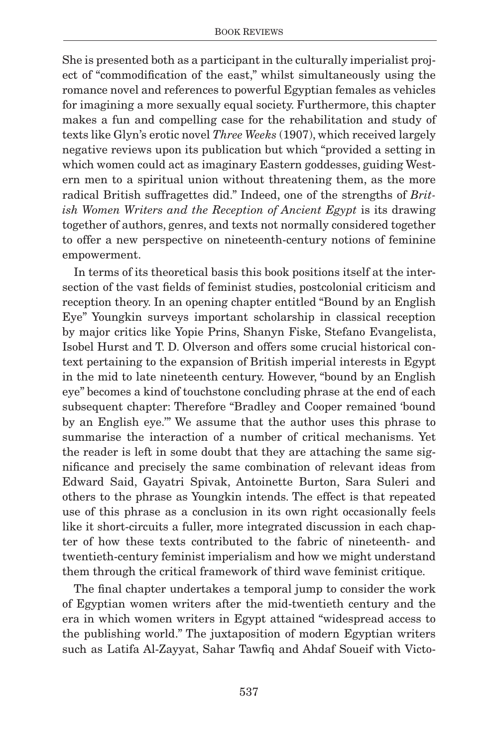She is presented both as a participant in the culturally imperialist project of "commodification of the east," whilst simultaneously using the romance novel and references to powerful Egyptian females as vehicles for imagining a more sexually equal society. Furthermore, this chapter makes a fun and compelling case for the rehabilitation and study of texts like Glyn's erotic novel *Three Weeks* (1907), which received largely negative reviews upon its publication but which "provided a setting in which women could act as imaginary Eastern goddesses, guiding Western men to a spiritual union without threatening them, as the more radical British suffragettes did." Indeed, one of the strengths of *Brit*ish Women Writers and the Reception of Ancient Egypt is its drawing together of authors, genres, and texts not normally considered together to offer a new perspective on nineteenth-century notions of feminine empowerment.

In terms of its theoretical basis this book positions itself at the intersection of the vast fields of feminist studies, postcolonial criticism and reception theory. In an opening chapter entitled "Bound by an English Eye" Youngkin surveys important scholarship in classical reception by major critics like Yopie Prins, Shanyn Fiske, Stefano Evangelista, Isobel Hurst and T. D. Olverson and offers some crucial historical context pertaining to the expansion of British imperial interests in Egypt in the mid to late nineteenth century. However, "bound by an English eye" becomes a kind of touchstone concluding phrase at the end of each subsequent chapter: Therefore "Bradley and Cooper remained 'bound by an English eye.'" We assume that the author uses this phrase to summarise the interaction of a number of critical mechanisms. Yet the reader is left in some doubt that they are attaching the same significance and precisely the same combination of relevant ideas from Edward Said, Gayatri Spivak, Antoinette Burton, Sara Suleri and others to the phrase as Youngkin intends. The effect is that repeated use of this phrase as a conclusion in its own right occasionally feels like it short-circuits a fuller, more integrated discussion in each chapter of how these texts contributed to the fabric of nineteenth- and twentieth-century feminist imperialism and how we might understand them through the critical framework of third wave feminist critique.

The final chapter undertakes a temporal jump to consider the work of Egyptian women writers after the mid-twentieth century and the era in which women writers in Egypt attained "widespread access to the publishing world." The juxtaposition of modern Egyptian writers such as Latifa Al-Zayyat, Sahar Tawfiq and Ahdaf Soueif with Victo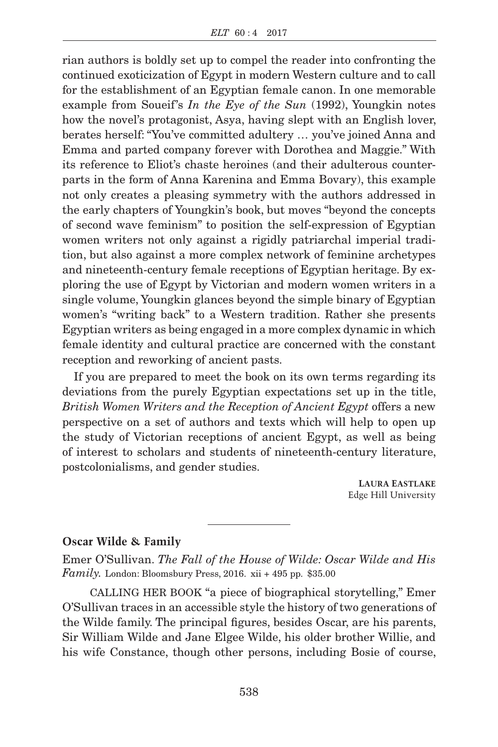rian authors is boldly set up to compel the reader into confronting the continued exoticization of Egypt in modern Western culture and to call for the establishment of an Egyptian female canon. In one memorable example from Soueif's *In the Eye of the Sun* (1992), Youngkin notes how the novel's protagonist, Asya, having slept with an English lover, berates herself: "You've committed adultery … you've joined Anna and Emma and parted company forever with Dorothea and Maggie." With its reference to Eliot's chaste heroines (and their adulterous counterparts in the form of Anna Karenina and Emma Bovary), this example not only creates a pleasing symmetry with the authors addressed in the early chapters of Youngkin's book, but moves "beyond the concepts of second wave feminism" to position the self-expression of Egyptian women writers not only against a rigidly patriarchal imperial tradition, but also against a more complex network of feminine archetypes and nineteenth-century female receptions of Egyptian heritage. By exploring the use of Egypt by Victorian and modern women writers in a single volume, Youngkin glances beyond the simple binary of Egyptian women's "writing back" to a Western tradition. Rather she presents Egyptian writers as being engaged in a more complex dynamic in which female identity and cultural practice are concerned with the constant reception and reworking of ancient pasts.

If you are prepared to meet the book on its own terms regarding its deviations from the purely Egyptian expectations set up in the title, *British Women Writers and the Reception of Ancient Egypt* offers a new perspective on a set of authors and texts which will help to open up the study of Victorian receptions of ancient Egypt, as well as being of interest to scholars and students of nineteenth-century literature, postcolonialisms, and gender studies.

> **LAURA EASTLAKE** Edge Hill University

## **Oscar Wilde & Family**

Emer O'Sullivan. *The Fall of the House of Wilde: Oscar Wilde and His Family.* London: Bloomsbury Press, 2016. xii + 495 pp.  $$35.00$ 

CALLING HER BOOK "a piece of biographical storytelling," Emer O'Sullivan traces in an accessible style the history of two generations of the Wilde family. The principal figures, besides Oscar, are his parents, Sir William Wilde and Jane Elgee Wilde, his older brother Willie, and his wife Constance, though other persons, including Bosie of course,